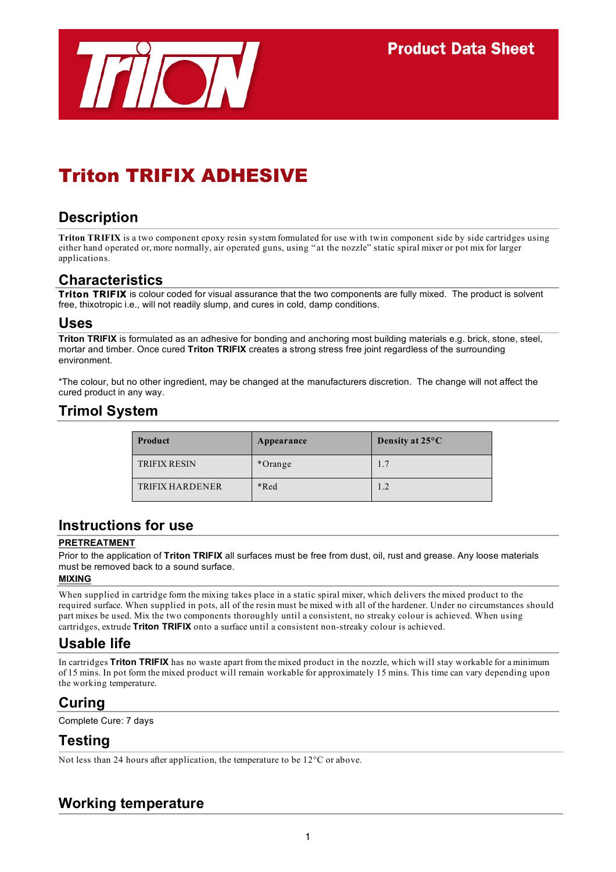

# Triton TRIFIX ADHESIVE

# **Description**

**Triton TRIFIX** is a two component epoxy resin system formulated for use with twin component side by side cartridges using either hand operated or, more normally, air operated guns, using "at the nozzle" static spiral mixer or pot mix for larger applications.

#### **Characteristics**

**Triton TRIFIX** is colour coded for visual assurance that the two components are fully mixed. The product is solvent free, thixotropic i.e., will not readily slump, and cures in cold, damp conditions.

#### **Uses**

**Triton TRIFIX** is formulated as an adhesive for bonding and anchoring most building materials e.g. brick, stone, steel, mortar and timber. Once cured **Triton TRIFIX** creates a strong stress free joint regardless of the surrounding environment.

\*The colour, but no other ingredient, may be changed at the manufacturers discretion. The change will not affect the cured product in any way.

# **Trimol System**

| Product                | Appearance | Density at $25^{\circ}$ C |
|------------------------|------------|---------------------------|
| <b>TRIFIX RESIN</b>    | *Orange    | 1.7                       |
| <b>TRIFIX HARDENER</b> | *Red       | 1.2                       |

#### **Instructions for use**

#### **PRETREATMENT**

Prior to the application of **Triton TRIFIX** all surfaces must be free from dust, oil, rust and grease. Any loose materials must be removed back to a sound surface.

#### **MIXING**

When supplied in cartridge form the mixing takes place in a static spiral mixer, which delivers the mixed product to the required surface. When supplied in pots, all of the resin must be mixed with all of the hardener. Under no circumstances should part mixes be used. Mix the two components thoroughly until a consistent, no streaky colour is achieved. When using cartridges, extrude **Triton TRIFIX** onto a surface until a consistent non-streaky colour is achieved.

### **Usable life**

In cartridges **Triton TRIFIX** has no waste apart from the mixed product in the nozzle, which will stay workable for a minimum of 15 mins. In pot form the mixed product will remain workable for approximately 15 mins. This time can vary depending upon the working temperature.

### **Curing**

Complete Cure: 7 days

### **Testing**

Not less than 24 hours after application, the temperature to be 12°C or above.

# **Working temperature**